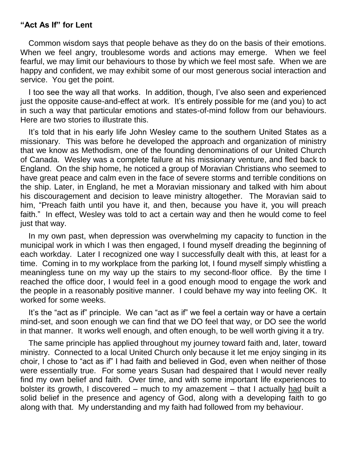## **"Act As If" for Lent**

Common wisdom says that people behave as they do on the basis of their emotions. When we feel angry, troublesome words and actions may emerge. When we feel fearful, we may limit our behaviours to those by which we feel most safe. When we are happy and confident, we may exhibit some of our most generous social interaction and service. You get the point.

I too see the way all that works. In addition, though, I've also seen and experienced just the opposite cause-and-effect at work. It's entirely possible for me (and you) to act in such a way that particular emotions and states-of-mind follow from our behaviours. Here are two stories to illustrate this.

It's told that in his early life John Wesley came to the southern United States as a missionary. This was before he developed the approach and organization of ministry that we know as Methodism, one of the founding denominations of our United Church of Canada. Wesley was a complete failure at his missionary venture, and fled back to England. On the ship home, he noticed a group of Moravian Christians who seemed to have great peace and calm even in the face of severe storms and terrible conditions on the ship. Later, in England, he met a Moravian missionary and talked with him about his discouragement and decision to leave ministry altogether. The Moravian said to him, "Preach faith until you have it, and then, because you have it, you will preach faith." In effect, Wesley was told to act a certain way and then he would come to feel just that way.

In my own past, when depression was overwhelming my capacity to function in the municipal work in which I was then engaged, I found myself dreading the beginning of each workday. Later I recognized one way I successfully dealt with this, at least for a time. Coming in to my workplace from the parking lot, I found myself simply whistling a meaningless tune on my way up the stairs to my second-floor office. By the time I reached the office door, I would feel in a good enough mood to engage the work and the people in a reasonably positive manner. I could behave my way into feeling OK. It worked for some weeks.

It's the "act as if" principle. We can "act as if" we feel a certain way or have a certain mind-set, and soon enough we can find that we DO feel that way, or DO see the world in that manner. It works well enough, and often enough, to be well worth giving it a try.

The same principle has applied throughout my journey toward faith and, later, toward ministry. Connected to a local United Church only because it let me enjoy singing in its choir, I chose to "act as if" I had faith and believed in God, even when neither of those were essentially true. For some years Susan had despaired that I would never really find my own belief and faith. Over time, and with some important life experiences to bolster its growth, I discovered – much to my amazement – that I actually had built a solid belief in the presence and agency of God, along with a developing faith to go along with that. My understanding and my faith had followed from my behaviour.